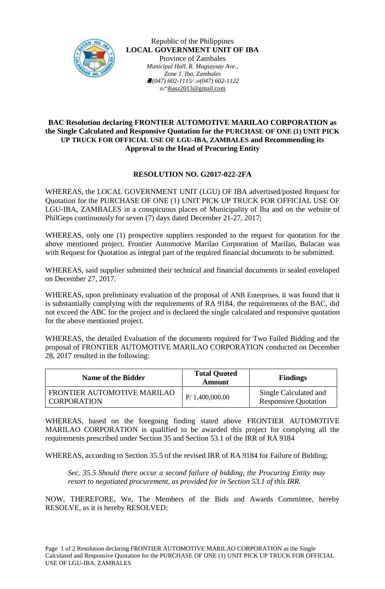

Republic of the Philippines **LOCAL GOVERNMENT UNIT OF IBA** Province of Zambales *Municipal Hall, R. Magsaysay Ave., Zone 1, Iba, Zambales (047) 602-1115/(047) 602-1122*  $\equiv$ yibasz2013@gmail.com

## **BAC Resolution declaring FRONTIER AUTOMOTIVE MARILAO CORPORATION as the Single Calculated and Responsive Quotation for the PURCHASE OF ONE (1) UNIT PICK UP TRUCK FOR OFFICIAL USE OF LGU-IBA, ZAMBALES and Recommending its Approval to the Head of Procuring Entity**

## **RESOLUTION NO. G2017-022-2FA**

WHEREAS, the LOCAL GOVERNMENT UNIT (LGU) OF IBA advertised/posted Request for Quotation for the PURCHASE OF ONE (1) UNIT PICK UP TRUCK FOR OFFICIAL USE OF LGU-IBA, ZAMBALES in a conspicuous places of Municipality of Iba and on the website of PhilGeps continuously for seven (7) days dated December 21-27, 2017;

WHEREAS, only one (1) prospective suppliers responded to the request for quotation for the above mentioned project. Frontier Automotive Marilao Corporation of Marilao, Bulacan was with Request for Quotation as integral part of the required financial documents to be submitted.

WHEREAS, said supplier submitted their technical and financial documents in sealed enveloped on December 27, 2017.

WHEREAS, upon preliminary evaluation of the proposal of ANB Enterprises, it was found that it is substantially complying with the requirements of RA 9184, the requirements of the BAC, did not exceed the ABC for the project and is declared the single calculated and responsive quotation for the above mentioned project.

WHEREAS, the detailed Evaluation of the documents required for Two Failed Bidding and the proposal of FRONTIER AUTOMOTIVE MARILAO CORPORATION conducted on December 28, 2017 resulted in the following:

| Name of the Bidder                                | <b>Total Quoted</b><br><b>Amount</b> | <b>Findings</b>                                      |
|---------------------------------------------------|--------------------------------------|------------------------------------------------------|
| FRONTIER AUTOMOTIVE MARILAO<br><b>CORPORATION</b> | P/ 1,400,000.00                      | Single Calculated and<br><b>Responsive Quotation</b> |

WHEREAS, based on the foregoing finding stated above FRONTIER AUTOMOTIVE MARILAO CORPORATION is qualified to be awarded this project for complying all the requirements prescribed under Section 35 and Section 53.1 of the IRR of RA 9184

WHEREAS, according to Section 35.5 of the revised IRR of RA 9184 for Failure of Bidding;

*Sec. 35.5 Should there occur a second failure of bidding, the Procuring Entity may resort to negotiated procurement, as provided for in Section 53.1 of this IRR.*

NOW, THEREFORE, We, The Members of the Bids and Awards Committee, hereby RESOLVE, as it is hereby RESOLVED: